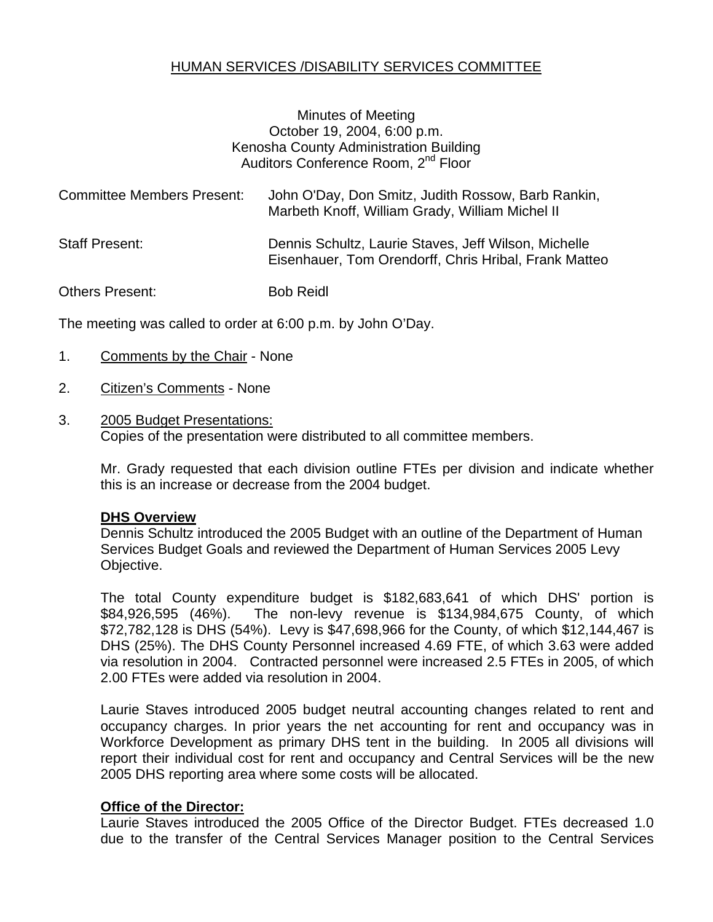# HUMAN SERVICES /DISABILITY SERVICES COMMITTEE

#### Minutes of Meeting October 19, 2004, 6:00 p.m. Kenosha County Administration Building Auditors Conference Room, 2<sup>nd</sup> Floor

| <b>Committee Members Present:</b> | John O'Day, Don Smitz, Judith Rossow, Barb Rankin,<br>Marbeth Knoff, William Grady, William Michel II         |
|-----------------------------------|---------------------------------------------------------------------------------------------------------------|
| <b>Staff Present:</b>             | Dennis Schultz, Laurie Staves, Jeff Wilson, Michelle<br>Eisenhauer, Tom Orendorff, Chris Hribal, Frank Matteo |
| Others Present:                   | <b>Bob Reidl</b>                                                                                              |

The meeting was called to order at 6:00 p.m. by John O'Day.

- 1. Comments by the Chair None
- 2. Citizen's Comments None
- 3. 2005 Budget Presentations: Copies of the presentation were distributed to all committee members.

Mr. Grady requested that each division outline FTEs per division and indicate whether this is an increase or decrease from the 2004 budget.

#### **DHS Overview**

Dennis Schultz introduced the 2005 Budget with an outline of the Department of Human Services Budget Goals and reviewed the Department of Human Services 2005 Levy Objective.

The total County expenditure budget is \$182,683,641 of which DHS' portion is \$84,926,595 (46%). The non-levy revenue is \$134,984,675 County, of which \$72,782,128 is DHS (54%). Levy is \$47,698,966 for the County, of which \$12,144,467 is DHS (25%). The DHS County Personnel increased 4.69 FTE, of which 3.63 were added via resolution in 2004. Contracted personnel were increased 2.5 FTEs in 2005, of which 2.00 FTEs were added via resolution in 2004.

Laurie Staves introduced 2005 budget neutral accounting changes related to rent and occupancy charges. In prior years the net accounting for rent and occupancy was in Workforce Development as primary DHS tent in the building. In 2005 all divisions will report their individual cost for rent and occupancy and Central Services will be the new 2005 DHS reporting area where some costs will be allocated.

#### **Office of the Director:**

Laurie Staves introduced the 2005 Office of the Director Budget. FTEs decreased 1.0 due to the transfer of the Central Services Manager position to the Central Services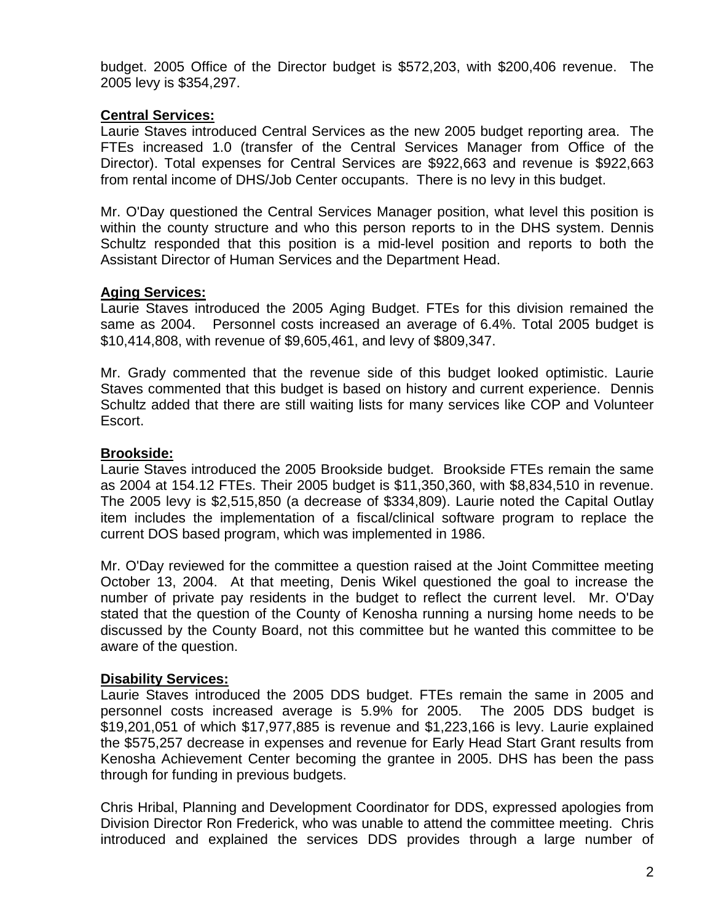budget. 2005 Office of the Director budget is \$572,203, with \$200,406 revenue. The 2005 levy is \$354,297.

# **Central Services:**

Laurie Staves introduced Central Services as the new 2005 budget reporting area. The FTEs increased 1.0 (transfer of the Central Services Manager from Office of the Director). Total expenses for Central Services are \$922,663 and revenue is \$922,663 from rental income of DHS/Job Center occupants. There is no levy in this budget.

Mr. O'Day questioned the Central Services Manager position, what level this position is within the county structure and who this person reports to in the DHS system. Dennis Schultz responded that this position is a mid-level position and reports to both the Assistant Director of Human Services and the Department Head.

### **Aging Services:**

Laurie Staves introduced the 2005 Aging Budget. FTEs for this division remained the same as 2004. Personnel costs increased an average of 6.4%. Total 2005 budget is \$10,414,808, with revenue of \$9,605,461, and levy of \$809,347.

Mr. Grady commented that the revenue side of this budget looked optimistic. Laurie Staves commented that this budget is based on history and current experience. Dennis Schultz added that there are still waiting lists for many services like COP and Volunteer Escort.

# **Brookside:**

Laurie Staves introduced the 2005 Brookside budget. Brookside FTEs remain the same as 2004 at 154.12 FTEs. Their 2005 budget is \$11,350,360, with \$8,834,510 in revenue. The 2005 levy is \$2,515,850 (a decrease of \$334,809). Laurie noted the Capital Outlay item includes the implementation of a fiscal/clinical software program to replace the current DOS based program, which was implemented in 1986.

Mr. O'Day reviewed for the committee a question raised at the Joint Committee meeting October 13, 2004. At that meeting, Denis Wikel questioned the goal to increase the number of private pay residents in the budget to reflect the current level. Mr. O'Day stated that the question of the County of Kenosha running a nursing home needs to be discussed by the County Board, not this committee but he wanted this committee to be aware of the question.

### **Disability Services:**

Laurie Staves introduced the 2005 DDS budget. FTEs remain the same in 2005 and personnel costs increased average is 5.9% for 2005. The 2005 DDS budget is \$19,201,051 of which \$17,977,885 is revenue and \$1,223,166 is levy. Laurie explained the \$575,257 decrease in expenses and revenue for Early Head Start Grant results from Kenosha Achievement Center becoming the grantee in 2005. DHS has been the pass through for funding in previous budgets.

Chris Hribal, Planning and Development Coordinator for DDS, expressed apologies from Division Director Ron Frederick, who was unable to attend the committee meeting. Chris introduced and explained the services DDS provides through a large number of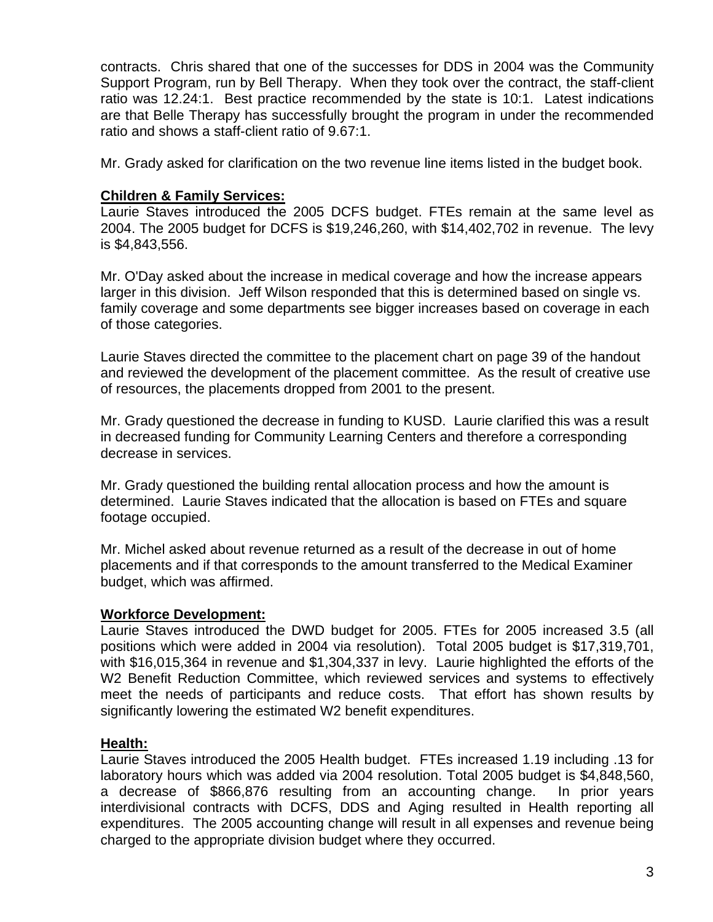contracts. Chris shared that one of the successes for DDS in 2004 was the Community Support Program, run by Bell Therapy. When they took over the contract, the staff-client ratio was 12.24:1. Best practice recommended by the state is 10:1. Latest indications are that Belle Therapy has successfully brought the program in under the recommended ratio and shows a staff-client ratio of 9.67:1.

Mr. Grady asked for clarification on the two revenue line items listed in the budget book.

#### **Children & Family Services:**

Laurie Staves introduced the 2005 DCFS budget. FTEs remain at the same level as 2004. The 2005 budget for DCFS is \$19,246,260, with \$14,402,702 in revenue. The levy is \$4,843,556.

Mr. O'Day asked about the increase in medical coverage and how the increase appears larger in this division. Jeff Wilson responded that this is determined based on single vs. family coverage and some departments see bigger increases based on coverage in each of those categories.

Laurie Staves directed the committee to the placement chart on page 39 of the handout and reviewed the development of the placement committee. As the result of creative use of resources, the placements dropped from 2001 to the present.

Mr. Grady questioned the decrease in funding to KUSD. Laurie clarified this was a result in decreased funding for Community Learning Centers and therefore a corresponding decrease in services.

Mr. Grady questioned the building rental allocation process and how the amount is determined. Laurie Staves indicated that the allocation is based on FTEs and square footage occupied.

Mr. Michel asked about revenue returned as a result of the decrease in out of home placements and if that corresponds to the amount transferred to the Medical Examiner budget, which was affirmed.

#### **Workforce Development:**

Laurie Staves introduced the DWD budget for 2005. FTEs for 2005 increased 3.5 (all positions which were added in 2004 via resolution). Total 2005 budget is \$17,319,701, with \$16,015,364 in revenue and \$1,304,337 in levy. Laurie highlighted the efforts of the W2 Benefit Reduction Committee, which reviewed services and systems to effectively meet the needs of participants and reduce costs. That effort has shown results by significantly lowering the estimated W2 benefit expenditures.

### **Health:**

Laurie Staves introduced the 2005 Health budget. FTEs increased 1.19 including .13 for laboratory hours which was added via 2004 resolution. Total 2005 budget is \$4,848,560, a decrease of \$866,876 resulting from an accounting change. In prior years interdivisional contracts with DCFS, DDS and Aging resulted in Health reporting all expenditures. The 2005 accounting change will result in all expenses and revenue being charged to the appropriate division budget where they occurred.